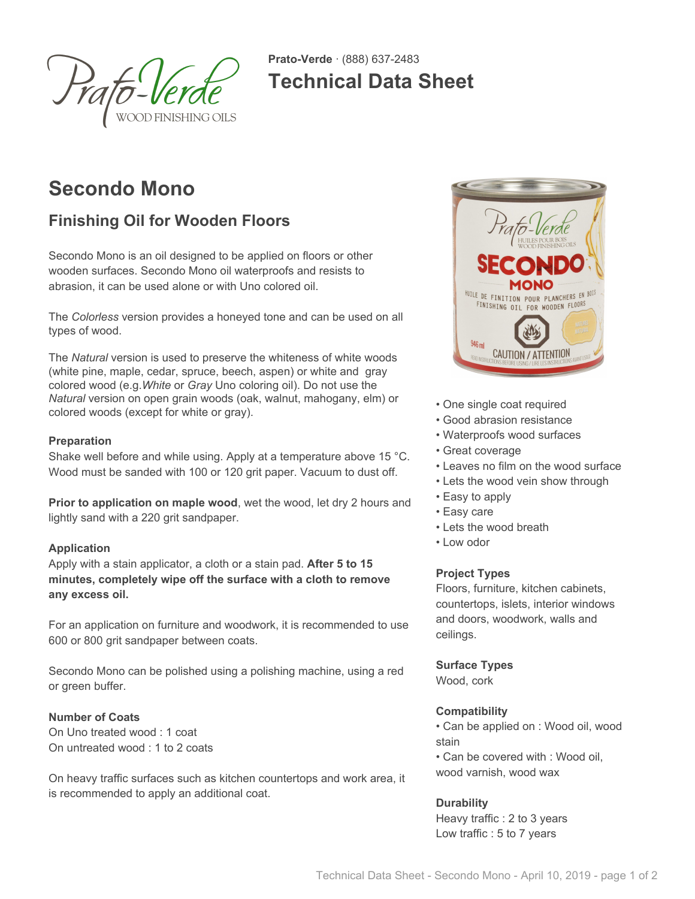

**Prato-Verde** · (888) 637-2483 **Technical Data Sheet**

# **Secondo Mono**

# **Finishing Oil for Wooden Floors**

Secondo Mono is an oil designed to be applied on floors or other wooden surfaces. Secondo Mono oil waterproofs and resists to abrasion, it can be used alone or with Uno colored oil.

The *Colorless* version provides a honeyed tone and can be used on all types of wood.

The *Natural* version is used to preserve the whiteness of white woods (white pine, maple, cedar, spruce, beech, aspen) or white and gray colored wood (e.g.*White* or *Gray* Uno coloring oil). Do not use the *Natural* version on open grain woods (oak, walnut, mahogany, elm) or colored woods (except for white or gray).

# **Preparation**

Shake well before and while using. Apply at a temperature above 15 °C. Wood must be sanded with 100 or 120 grit paper. Vacuum to dust off.

**Prior to application on maple wood**, wet the wood, let dry 2 hours and lightly sand with a 220 grit sandpaper.

### **Application**

Apply with a stain applicator, a cloth or a stain pad. **After 5 to 15 minutes, completely wipe off the surface with a cloth to remove any excess oil.**

For an application on furniture and woodwork, it is recommended to use 600 or 800 grit sandpaper between coats.

Secondo Mono can be polished using a polishing machine, using a red or green buffer.

### **Number of Coats**

On Uno treated wood : 1 coat On untreated wood : 1 to 2 coats

On heavy traffic surfaces such as kitchen countertops and work area, it is recommended to apply an additional coat.



- One single coat required
- Good abrasion resistance
- Waterproofs wood surfaces
- Great coverage
- Leaves no film on the wood surface
- Lets the wood vein show through
- Easy to apply
- Easy care
- Lets the wood breath
- Low odor

# **Project Types**

Floors, furniture, kitchen cabinets, countertops, islets, interior windows and doors, woodwork, walls and ceilings.

### **Surface Types**

Wood, cork

# **Compatibility**

• Can be applied on : Wood oil, wood stain

• Can be covered with : Wood oil, wood varnish, wood wax

# **Durability**

Heavy traffic : 2 to 3 years Low traffic : 5 to 7 years